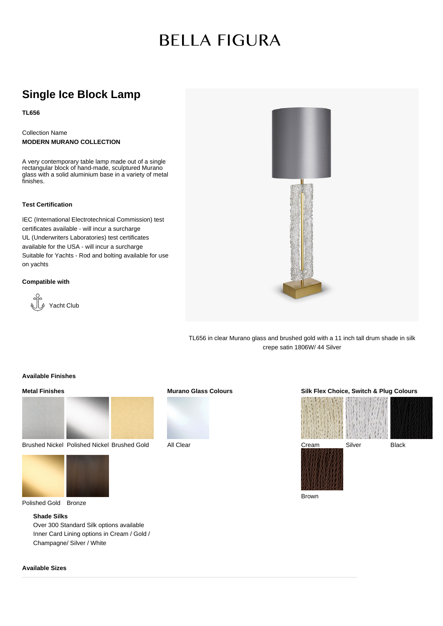# **BELLA FIGURA**

### **Single Ice Block Lamp**

**TL656**

Collection Name **MODERN MURANO COLLECTION**

A very contemporary table lamp made out of a single rectangular block of hand-made, sculptured Murano glass with a solid aluminium base in a variety of metal finishes.

#### **Test Certification**

IEC (International Electrotechnical Commission) test certificates available - will incur a surcharge UL (Underwriters Laboratories) test certificates available for the USA - will incur a surcharge Suitable for Yachts - Rod and bolting available for use on yachts

#### **Compatible with**





TL656 in clear Murano glass and brushed gold with a 11 inch tall drum shade in silk crepe satin 1806W/ 44 Silver

#### **Available Finishes**

#### **Metal Finishes**



Brushed Nickel Polished Nickel Brushed Gold



Polished Gold Bronze

#### **Shade Silks**

Over 300 Standard Silk options available Inner Card Lining options in Cream / Gold / Champagne/ Silver / White

## **Murano Glass Colours**



All Clear

#### **Silk Flex Choice, Switch & Plug Colours**



Brown

**Available Sizes**